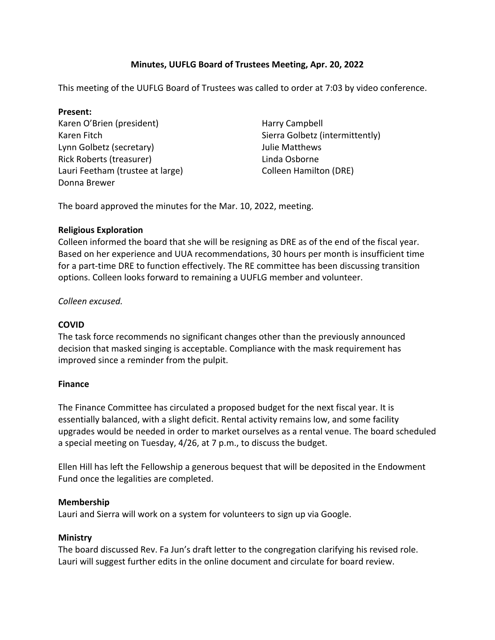# **Minutes, UUFLG Board of Trustees Meeting, Apr. 20, 2022**

This meeting of the UUFLG Board of Trustees was called to order at 7:03 by video conference.

## **Present:**

Karen O'Brien (president) Karen Fitch Lynn Golbetz (secretary) Rick Roberts (treasurer) Lauri Feetham (trustee at large) Donna Brewer

Harry Campbell Sierra Golbetz (intermittently) Julie Matthews Linda Osborne Colleen Hamilton (DRE)

The board approved the minutes for the Mar. 10, 2022, meeting.

## **Religious Exploration**

Colleen informed the board that she will be resigning as DRE as of the end of the fiscal year. Based on her experience and UUA recommendations, 30 hours per month is insufficient time for a part-time DRE to function effectively. The RE committee has been discussing transition options. Colleen looks forward to remaining a UUFLG member and volunteer.

*Colleen excused.*

# **COVID**

The task force recommends no significant changes other than the previously announced decision that masked singing is acceptable. Compliance with the mask requirement has improved since a reminder from the pulpit.

## **Finance**

The Finance Committee has circulated a proposed budget for the next fiscal year. It is essentially balanced, with a slight deficit. Rental activity remains low, and some facility upgrades would be needed in order to market ourselves as a rental venue. The board scheduled a special meeting on Tuesday, 4/26, at 7 p.m., to discuss the budget.

Ellen Hill has left the Fellowship a generous bequest that will be deposited in the Endowment Fund once the legalities are completed.

## **Membership**

Lauri and Sierra will work on a system for volunteers to sign up via Google.

## **Ministry**

The board discussed Rev. Fa Jun's draft letter to the congregation clarifying his revised role. Lauri will suggest further edits in the online document and circulate for board review.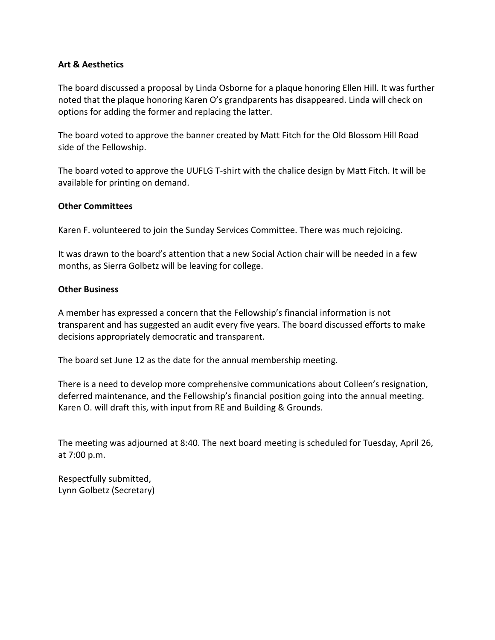## **Art & Aesthetics**

The board discussed a proposal by Linda Osborne for a plaque honoring Ellen Hill. It was further noted that the plaque honoring Karen O's grandparents has disappeared. Linda will check on options for adding the former and replacing the latter.

The board voted to approve the banner created by Matt Fitch for the Old Blossom Hill Road side of the Fellowship.

The board voted to approve the UUFLG T-shirt with the chalice design by Matt Fitch. It will be available for printing on demand.

## **Other Committees**

Karen F. volunteered to join the Sunday Services Committee. There was much rejoicing.

It was drawn to the board's attention that a new Social Action chair will be needed in a few months, as Sierra Golbetz will be leaving for college.

#### **Other Business**

A member has expressed a concern that the Fellowship's financial information is not transparent and has suggested an audit every five years. The board discussed efforts to make decisions appropriately democratic and transparent.

The board set June 12 as the date for the annual membership meeting.

There is a need to develop more comprehensive communications about Colleen's resignation, deferred maintenance, and the Fellowship's financial position going into the annual meeting. Karen O. will draft this, with input from RE and Building & Grounds.

The meeting was adjourned at 8:40. The next board meeting is scheduled for Tuesday, April 26, at 7:00 p.m.

Respectfully submitted, Lynn Golbetz (Secretary)